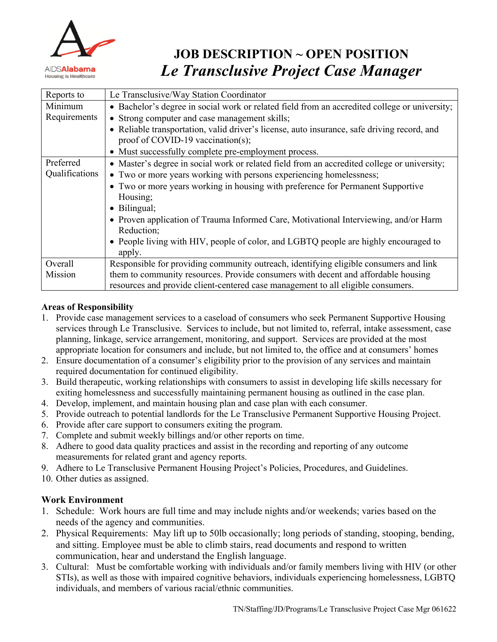

# **JOB DESCRIPTION ~ OPEN POSITION** *Le Transclusive Project Case Manager*

| Reports to     | Le Transclusive/Way Station Coordinator                                                       |
|----------------|-----------------------------------------------------------------------------------------------|
| Minimum        | • Bachelor's degree in social work or related field from an accredited college or university; |
| Requirements   | • Strong computer and case management skills;                                                 |
|                | • Reliable transportation, valid driver's license, auto insurance, safe driving record, and   |
|                | proof of COVID-19 vaccination(s);                                                             |
|                | • Must successfully complete pre-employment process.                                          |
| Preferred      | • Master's degree in social work or related field from an accredited college or university;   |
| Qualifications | • Two or more years working with persons experiencing homelessness;                           |
|                | • Two or more years working in housing with preference for Permanent Supportive               |
|                | Housing;                                                                                      |
|                | • Bilingual;                                                                                  |
|                | • Proven application of Trauma Informed Care, Motivational Interviewing, and/or Harm          |
|                | Reduction;                                                                                    |
|                | • People living with HIV, people of color, and LGBTQ people are highly encouraged to          |
|                | apply.                                                                                        |
| Overall        | Responsible for providing community outreach, identifying eligible consumers and link         |
| Mission        | them to community resources. Provide consumers with decent and affordable housing             |
|                | resources and provide client-centered case management to all eligible consumers.              |

### **Areas of Responsibility**

- 1. Provide case management services to a caseload of consumers who seek Permanent Supportive Housing services through Le Transclusive. Services to include, but not limited to, referral, intake assessment, case planning, linkage, service arrangement, monitoring, and support. Services are provided at the most appropriate location for consumers and include, but not limited to, the office and at consumers' homes
- 2. Ensure documentation of a consumer's eligibility prior to the provision of any services and maintain required documentation for continued eligibility.
- 3. Build therapeutic, working relationships with consumers to assist in developing life skills necessary for exiting homelessness and successfully maintaining permanent housing as outlined in the case plan.
- 4. Develop, implement, and maintain housing plan and case plan with each consumer.
- 5. Provide outreach to potential landlords for the Le Transclusive Permanent Supportive Housing Project.
- 6. Provide after care support to consumers exiting the program.
- 7. Complete and submit weekly billings and/or other reports on time.
- 8. Adhere to good data quality practices and assist in the recording and reporting of any outcome measurements for related grant and agency reports.
- 9. Adhere to Le Transclusive Permanent Housing Project's Policies, Procedures, and Guidelines.
- 10. Other duties as assigned.

## **Work Environment**

- 1. Schedule: Work hours are full time and may include nights and/or weekends; varies based on the needs of the agency and communities.
- 2. Physical Requirements: May lift up to 50lb occasionally; long periods of standing, stooping, bending, and sitting. Employee must be able to climb stairs, read documents and respond to written communication, hear and understand the English language.
- 3. Cultural: Must be comfortable working with individuals and/or family members living with HIV (or other STIs), as well as those with impaired cognitive behaviors, individuals experiencing homelessness, LGBTQ individuals, and members of various racial/ethnic communities.